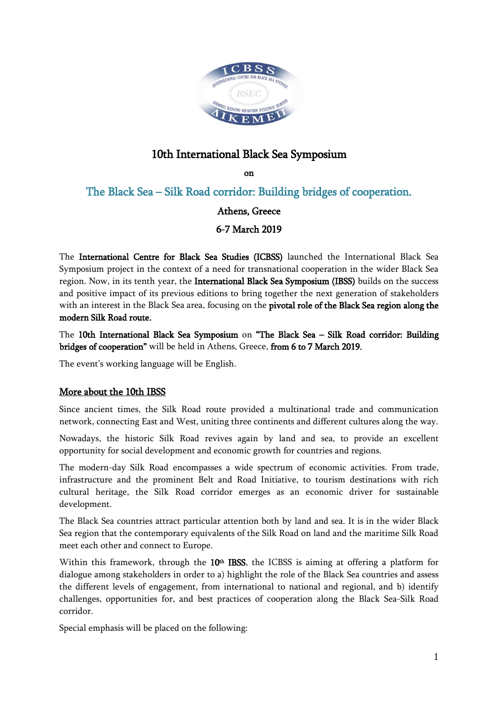

## 10th International Black Sea Symposium

on

The Black Sea – Silk Road corridor: Building bridges of cooperation.

## Athens, Greece

6-7 March 2019

The International Centre for Black Sea Studies (ICBSS) launched the International Black Sea Symposium project in the context of a need for transnational cooperation in the wider Black Sea region. Now, in its tenth year, the International Black Sea Symposium (IBSS) builds on the success and positive impact of its previous editions to bring together the next generation of stakeholders with an interest in the Black Sea area, focusing on the pivotal role of the Black Sea region along the modern Silk Road route.

The 10th International Black Sea Symposium on "The Black Sea – Silk Road corridor: Building bridges of cooperation" will be held in Athens, Greece, from 6 to 7 March 2019.

The event's working language will be English.

## More about the 10th IBSS

Since ancient times, the Silk Road route provided a multinational trade and communication network, connecting East and West, uniting three continents and different cultures along the way.

Nowadays, the historic Silk Road revives again by land and sea, to provide an excellent opportunity for social development and economic growth for countries and regions.

The modern-day Silk Road encompasses a wide spectrum of economic activities. From trade, infrastructure and the prominent Belt and Road Initiative, to tourism destinations with rich cultural heritage, the Silk Road corridor emerges as an economic driver for sustainable development.

The Black Sea countries attract particular attention both by land and sea. It is in the wider Black Sea region that the contemporary equivalents of the Silk Road on land and the maritime Silk Road meet each other and connect to Europe.

Within this framework, through the  $10<sup>th</sup>$  IBSS, the ICBSS is aiming at offering a platform for dialogue among stakeholders in order to a) highlight the role of the Black Sea countries and assess the different levels of engagement, from international to national and regional, and b) identify challenges, opportunities for, and best practices of cooperation along the Black Sea-Silk Road corridor.

Special emphasis will be placed on the following: